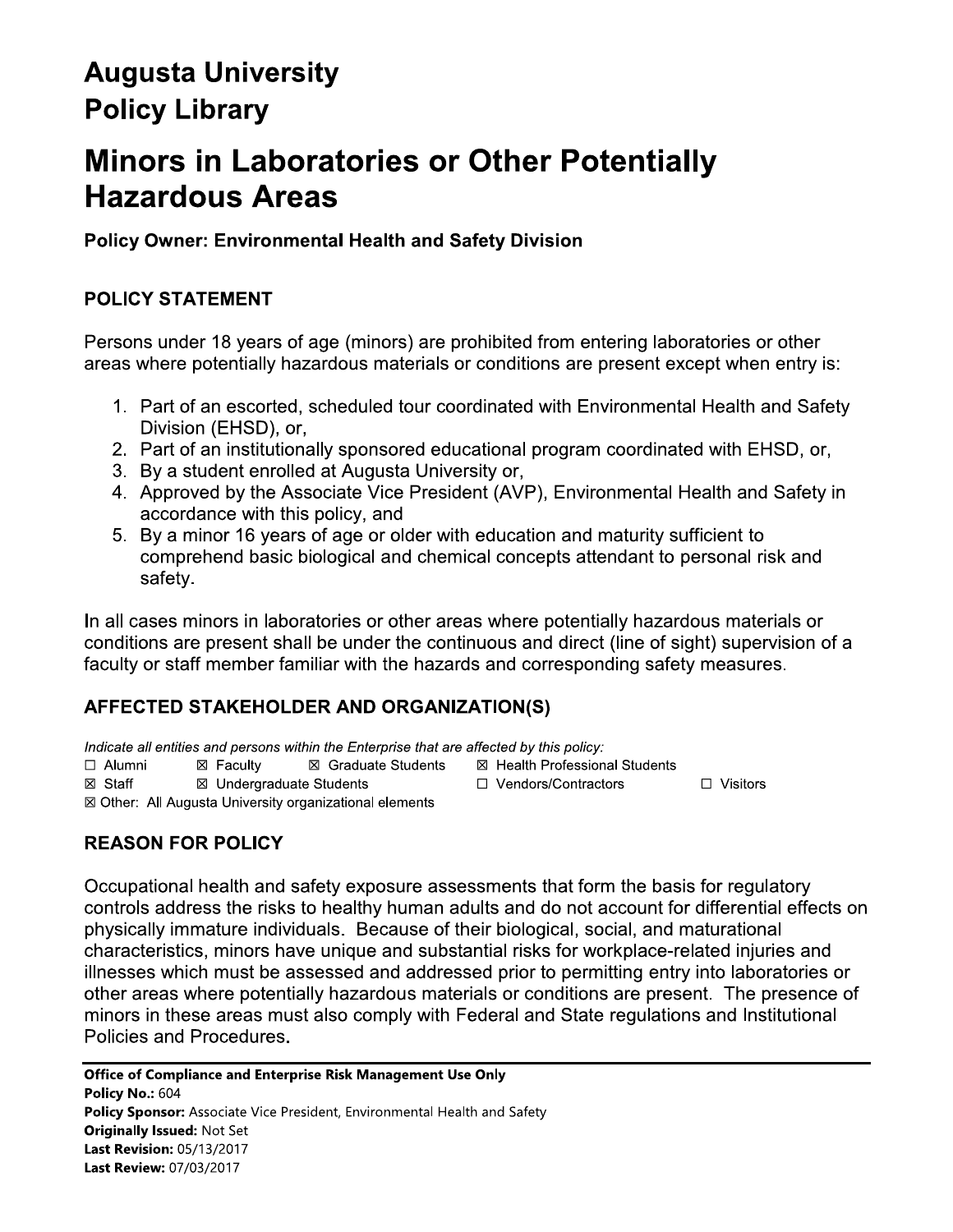# **Augusta University Policy Library**

# **Minors in Laboratories or Other Potentially Hazardous Areas**

**Policy Owner: Environmental Health and Safety Division** 

# **POLICY STATEMENT**

Persons under 18 years of age (minors) are prohibited from entering laboratories or other areas where potentially hazardous materials or conditions are present except when entry is:

- 1. Part of an escorted, scheduled tour coordinated with Environmental Health and Safety Division (EHSD), or,
- 2. Part of an institutionally sponsored educational program coordinated with EHSD, or,
- 3. By a student enrolled at Augusta University or,
- 4. Approved by the Associate Vice President (AVP), Environmental Health and Safety in accordance with this policy, and
- 5. By a minor 16 years of age or older with education and maturity sufficient to comprehend basic biological and chemical concepts attendant to personal risk and safetv.

In all cases minors in laboratories or other areas where potentially hazardous materials or conditions are present shall be under the continuous and direct (line of sight) supervision of a faculty or staff member familiar with the hazards and corresponding safety measures.

# AFFECTED STAKEHOLDER AND ORGANIZATION(S)

Indicate all entities and persons within the Enterprise that are affected by this policy: ⊠ Health Professional Students

 $\Box$  Alumni ⊠ Facultv ⊠ Graduate Students

⊠ Staff ⊠ Undergraduate Students

□ Vendors/Contractors ⊠ Other: All Augusta University organizational elements

# **REASON FOR POLICY**

Occupational health and safety exposure assessments that form the basis for regulatory controls address the risks to healthy human adults and do not account for differential effects on physically immature individuals. Because of their biological, social, and maturational characteristics, minors have unique and substantial risks for workplace-related injuries and illnesses which must be assessed and addressed prior to permitting entry into laboratories or other areas where potentially hazardous materials or conditions are present. The presence of minors in these areas must also comply with Federal and State regulations and Institutional Policies and Procedures.

 $\Box$  Visitors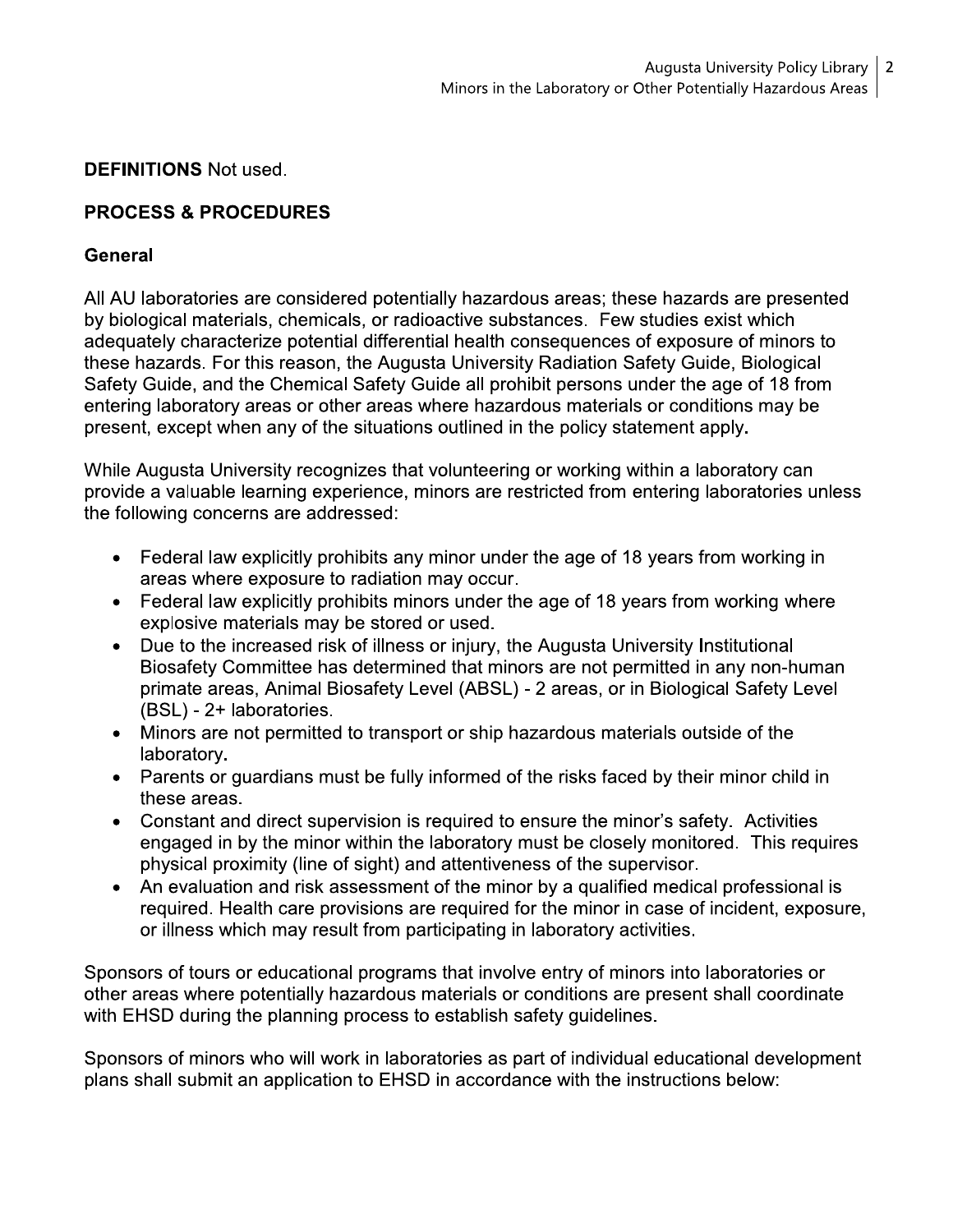#### **DEFINITIONS** Not used.

## **PROCESS & PROCEDURES**

#### General

All AU laboratories are considered potentially hazardous areas; these hazards are presented by biological materials, chemicals, or radioactive substances. Few studies exist which adequately characterize potential differential health consequences of exposure of minors to these hazards. For this reason, the Augusta University Radiation Safety Guide, Biological Safety Guide, and the Chemical Safety Guide all prohibit persons under the age of 18 from entering laboratory areas or other areas where hazardous materials or conditions may be present, except when any of the situations outlined in the policy statement apply.

While Augusta University recognizes that volunteering or working within a laboratory can provide a valuable learning experience, minors are restricted from entering laboratories unless the following concerns are addressed:

- Federal law explicitly prohibits any minor under the age of 18 years from working in areas where exposure to radiation may occur.
- Federal law explicitly prohibits minors under the age of 18 years from working where explosive materials may be stored or used.
- Due to the increased risk of illness or injury, the Augusta University Institutional Biosafety Committee has determined that minors are not permitted in any non-human primate areas, Animal Biosafety Level (ABSL) - 2 areas, or in Biological Safety Level (BSL) - 2+ laboratories.
- Minors are not permitted to transport or ship hazardous materials outside of the laboratory.
- Parents or guardians must be fully informed of the risks faced by their minor child in these areas.
- Constant and direct supervision is required to ensure the minor's safety. Activities engaged in by the minor within the laboratory must be closely monitored. This requires physical proximity (line of sight) and attentiveness of the supervisor.
- An evaluation and risk assessment of the minor by a qualified medical professional is required. Health care provisions are required for the minor in case of incident, exposure, or illness which may result from participating in laboratory activities.

Sponsors of tours or educational programs that involve entry of minors into laboratories or other areas where potentially hazardous materials or conditions are present shall coordinate with EHSD during the planning process to establish safety guidelines.

Sponsors of minors who will work in laboratories as part of individual educational development plans shall submit an application to EHSD in accordance with the instructions below: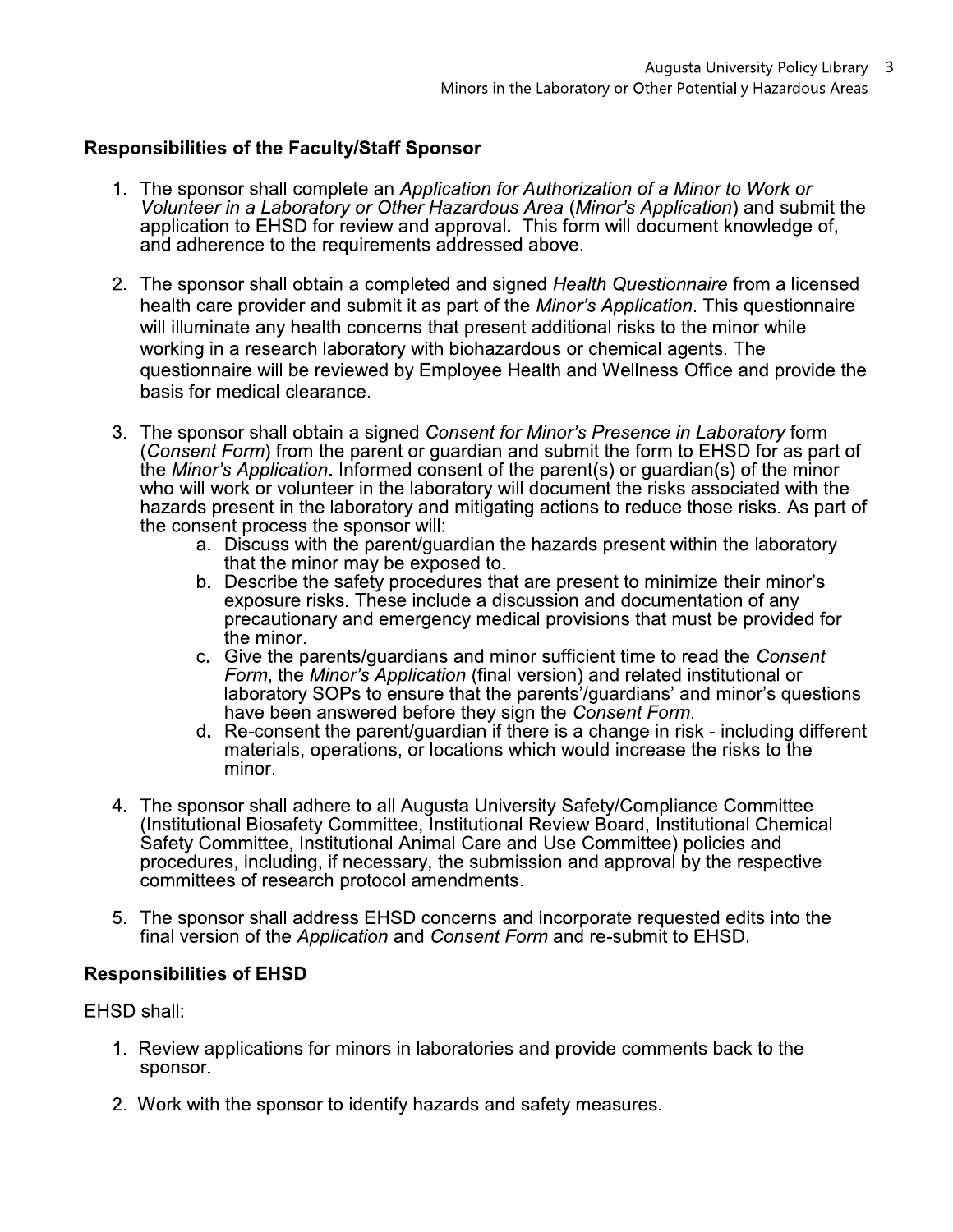#### **Responsibilities of the Faculty/Staff Sponsor**

- 1. The sponsor shall complete an Application for Authorization of a Minor to Work or Volunteer in a Laboratory or Other Hazardous Area (Minor's Application) and submit the application to EHSD for review and approval. This form will document knowledge of, and adherence to the requirements addressed above.
- 2. The sponsor shall obtain a completed and signed Health Questionnaire from a licensed health care provider and submit it as part of the Minor's Application. This questionnaire will illuminate any health concerns that present additional risks to the minor while working in a research laboratory with biohazardous or chemical agents. The questionnaire will be reviewed by Employee Health and Wellness Office and provide the basis for medical clearance.
- 3. The sponsor shall obtain a signed Consent for Minor's Presence in Laboratory form (Consent Form) from the parent or guardian and submit the form to EHSD for as part of the Minor's Application. Informed consent of the parent(s) or guardian(s) of the minor who will work or volunteer in the laboratory will document the risks associated with the hazards present in the laboratory and mitigating actions to reduce those risks. As part of the consent process the sponsor will:
	- a. Discuss with the parent/guardian the hazards present within the laboratory that the minor may be exposed to.
	- b. Describe the safety procedures that are present to minimize their minor's exposure risks. These include a discussion and documentation of any precautionary and emergency medical provisions that must be provided for the minor.
	- c. Give the parents/guardians and minor sufficient time to read the Consent Form, the Minor's Application (final version) and related institutional or laboratory SOPs to ensure that the parents'/guardians' and minor's questions have been answered before they sign the Consent Form.
	- d. Re-consent the parent/guardian if there is a change in risk including different materials, operations, or locations which would increase the risks to the minor.
- 4. The sponsor shall adhere to all Augusta University Safety/Compliance Committee (Institutional Biosafety Committee, Institutional Review Board, Institutional Chemical Safety Committee, Institutional Animal Care and Use Committee) policies and procedures, including, if necessary, the submission and approval by the respective committees of research protocol amendments.
- 5. The sponsor shall address EHSD concerns and incorporate requested edits into the final version of the *Application* and *Consent Form* and re-submit to EHSD.

#### **Responsibilities of EHSD**

EHSD shall:

- 1. Review applications for minors in laboratories and provide comments back to the sponsor.
- 2. Work with the sponsor to identify hazards and safety measures.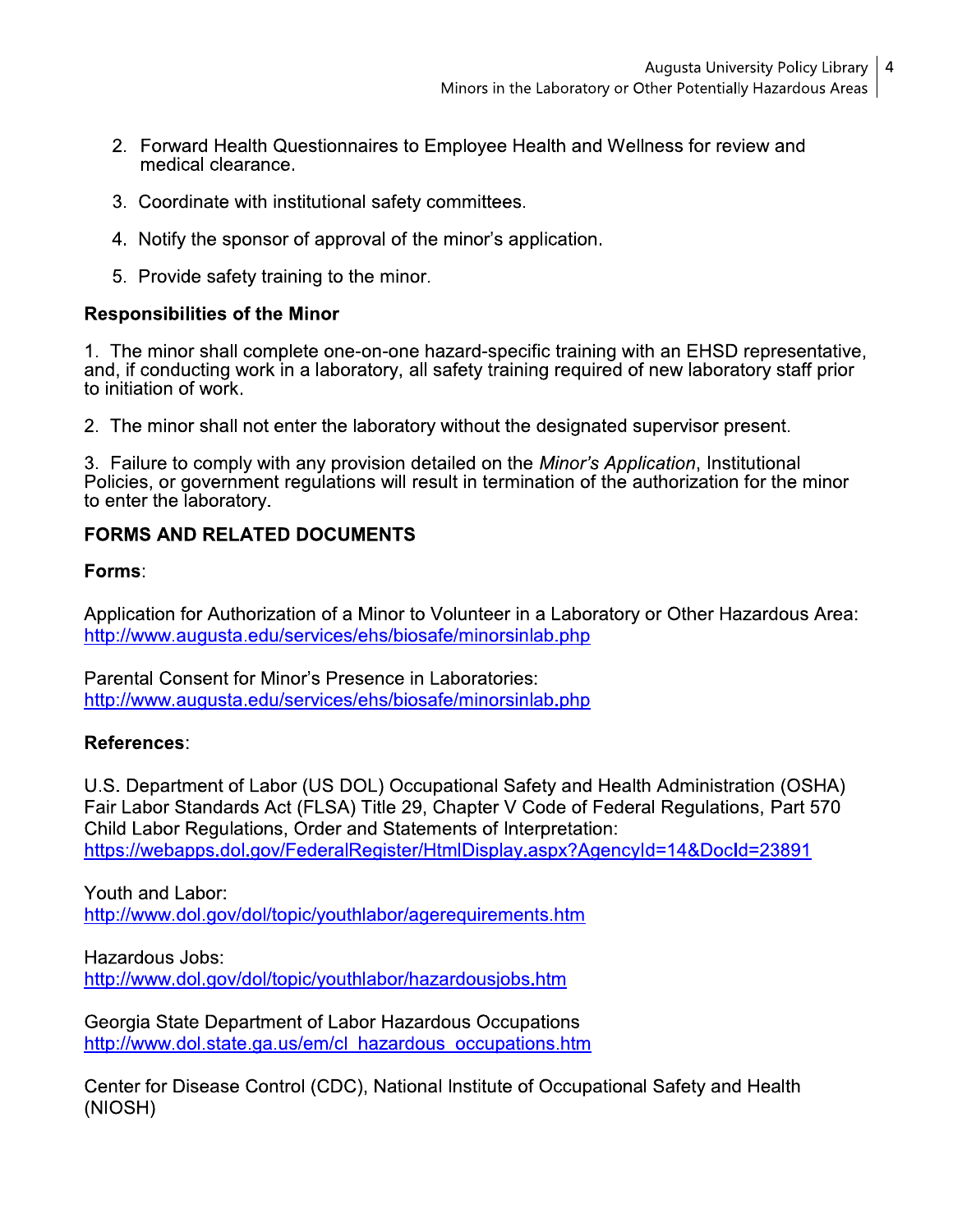- 2. Forward Health Questionnaires to Employee Health and Wellness for review and medical clearance.
- 3. Coordinate with institutional safety committees.
- 4. Notify the sponsor of approval of the minor's application.
- 5. Provide safety training to the minor.

#### **Responsibilities of the Minor**

1. The minor shall complete one-on-one hazard-specific training with an EHSD representative, and, if conducting work in a laboratory, all safety training required of new laboratory staff prior to initiation of work.

2. The minor shall not enter the laboratory without the designated supervisor present.

3. Failure to comply with any provision detailed on the Minor's Application, Institutional Policies, or government regulations will result in termination of the authorization for the minor to enter the laboratory.

## **FORMS AND RELATED DOCUMENTS**

Forms:

Application for Authorization of a Minor to Volunteer in a Laboratory or Other Hazardous Area: http://www.augusta.edu/services/ehs/biosafe/minorsinlab.php

Parental Consent for Minor's Presence in Laboratories: http://www.augusta.edu/services/ehs/biosafe/minorsinlab.php

### References:

U.S. Department of Labor (US DOL) Occupational Safety and Health Administration (OSHA) Fair Labor Standards Act (FLSA) Title 29, Chapter V Code of Federal Regulations, Part 570 Child Labor Regulations, Order and Statements of Interpretation: https://webapps.dol.gov/FederalRegister/HtmlDisplay.aspx?AgencyId=14&DocId=23891

Youth and Labor: http://www.dol.gov/dol/topic/youthlabor/agerequirements.htm

Hazardous Jobs: http://www.dol.gov/dol/topic/youthlabor/hazardousjobs.htm

Georgia State Department of Labor Hazardous Occupations http://www.dol.state.ga.us/em/cl hazardous occupations.htm

Center for Disease Control (CDC), National Institute of Occupational Safety and Health (NIOSH)